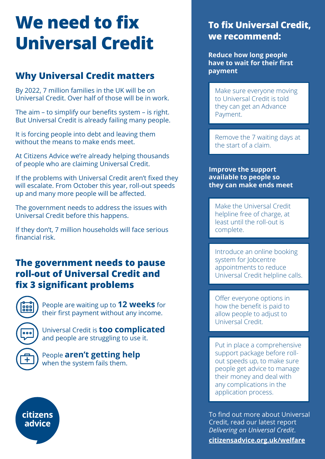# **We need to fix Universal Credit**

## **Why Universal Credit matters**

By 2022, 7 million families in the UK will be on Universal Credit. Over half of those will be in work.

The aim – to simplify our benefits system – is right. But Universal Credit is already failing many people.

It is forcing people into debt and leaving them without the means to make ends meet.

At Citizens Advice we're already helping thousands of people who are claiming Universal Credit.

If the problems with Universal Credit aren't fixed they will escalate. From October this year, roll-out speeds up and many more people will be affected.

The government needs to address the issues with Universal Credit before this happens.

If they don't, 7 million households will face serious financial risk.

#### **The government needs to pause roll-out of Universal Credit and fix 3 significant problems**



People are waiting up to **12 weeks** for their first payment without any income.



citizens advice

Universal Credit is **too complicated** and people are struggling to use it.

People **aren't getting help** when the system fails them.



**Reduce how long people have to wait for their first payment**

Make sure everyone moving to Universal Credit is told they can get an Advance Payment.

Remove the 7 waiting days at the start of a claim.

**Improve the support available to people so they can make ends meet**

Make the Universal Credit helpline free of charge, at least until the roll-out is complete.

Introduce an online booking system for Jobcentre appointments to reduce Universal Credit helpline calls.

Offer everyone options in how the benefit is paid to allow people to adjust to Universal Credit.

Put in place a comprehensive support package before rollout speeds up, to make sure people get advice to manage their money and deal with any complications in the application process.

To find out more about Universal Credit, read our latest report *Delivering on Universal Credit*.

**citizensadvice.org.uk/welfare**